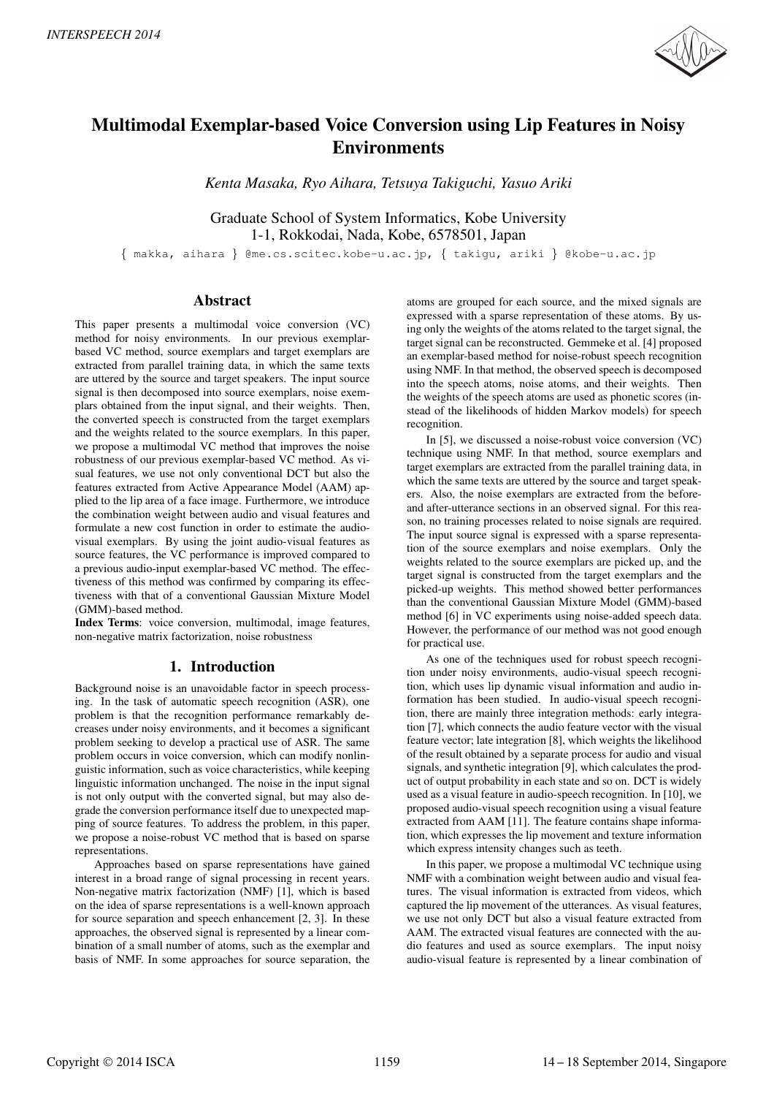

# Multimodal Exemplar-based Voice Conversion using Lip Features in Noisy Environments

*Kenta Masaka, Ryo Aihara, Tetsuya Takiguchi, Yasuo Ariki*

Graduate School of System Informatics, Kobe University 1-1, Rokkodai, Nada, Kobe, 6578501, Japan

*{* makka, aihara *}* @me.cs.scitec.kobe-u.ac.jp, *{* takigu, ariki *}* @kobe-u.ac.jp

# Abstract

This paper presents a multimodal voice conversion (VC) method for noisy environments. In our previous exemplarbased VC method, source exemplars and target exemplars are extracted from parallel training data, in which the same texts are uttered by the source and target speakers. The input source signal is then decomposed into source exemplars, noise exemplars obtained from the input signal, and their weights. Then, the converted speech is constructed from the target exemplars and the weights related to the source exemplars. In this paper, we propose a multimodal VC method that improves the noise robustness of our previous exemplar-based VC method. As visual features, we use not only conventional DCT but also the features extracted from Active Appearance Model (AAM) applied to the lip area of a face image. Furthermore, we introduce the combination weight between audio and visual features and formulate a new cost function in order to estimate the audiovisual exemplars. By using the joint audio-visual features as source features, the VC performance is improved compared to a previous audio-input exemplar-based VC method. The effectiveness of this method was confirmed by comparing its effectiveness with that of a conventional Gaussian Mixture Model (GMM)-based method.

Index Terms: voice conversion, multimodal, image features, non-negative matrix factorization, noise robustness

# 1. Introduction

Background noise is an unavoidable factor in speech processing. In the task of automatic speech recognition (ASR), one problem is that the recognition performance remarkably decreases under noisy environments, and it becomes a significant problem seeking to develop a practical use of ASR. The same problem occurs in voice conversion, which can modify nonlinguistic information, such as voice characteristics, while keeping linguistic information unchanged. The noise in the input signal is not only output with the converted signal, but may also degrade the conversion performance itself due to unexpected mapping of source features. To address the problem, in this paper, we propose a noise-robust VC method that is based on sparse representations.

Approaches based on sparse representations have gained interest in a broad range of signal processing in recent years. Non-negative matrix factorization (NMF) [1], which is based on the idea of sparse representations is a well-known approach for source separation and speech enhancement [2, 3]. In these approaches, the observed signal is represented by a linear combination of a small number of atoms, such as the exemplar and basis of NMF. In some approaches for source separation, the atoms are grouped for each source, and the mixed signals are expressed with a sparse representation of these atoms. By using only the weights of the atoms related to the target signal, the target signal can be reconstructed. Gemmeke et al. [4] proposed an exemplar-based method for noise-robust speech recognition using NMF. In that method, the observed speech is decomposed into the speech atoms, noise atoms, and their weights. Then the weights of the speech atoms are used as phonetic scores (instead of the likelihoods of hidden Markov models) for speech recognition.

In [5], we discussed a noise-robust voice conversion (VC) technique using NMF. In that method, source exemplars and target exemplars are extracted from the parallel training data, in which the same texts are uttered by the source and target speakers. Also, the noise exemplars are extracted from the beforeand after-utterance sections in an observed signal. For this reason, no training processes related to noise signals are required. The input source signal is expressed with a sparse representation of the source exemplars and noise exemplars. Only the weights related to the source exemplars are picked up, and the target signal is constructed from the target exemplars and the picked-up weights. This method showed better performances than the conventional Gaussian Mixture Model (GMM)-based method [6] in VC experiments using noise-added speech data. However, the performance of our method was not good enough for practical use.

As one of the techniques used for robust speech recognition under noisy environments, audio-visual speech recognition, which uses lip dynamic visual information and audio information has been studied. In audio-visual speech recognition, there are mainly three integration methods: early integration [7], which connects the audio feature vector with the visual feature vector; late integration [8], which weights the likelihood of the result obtained by a separate process for audio and visual signals, and synthetic integration [9], which calculates the product of output probability in each state and so on. DCT is widely used as a visual feature in audio-speech recognition. In [10], we proposed audio-visual speech recognition using a visual feature extracted from AAM [11]. The feature contains shape information, which expresses the lip movement and texture information which express intensity changes such as teeth.

In this paper, we propose a multimodal VC technique using NMF with a combination weight between audio and visual features. The visual information is extracted from videos, which captured the lip movement of the utterances. As visual features, we use not only DCT but also a visual feature extracted from AAM. The extracted visual features are connected with the audio features and used as source exemplars. The input noisy audio-visual feature is represented by a linear combination of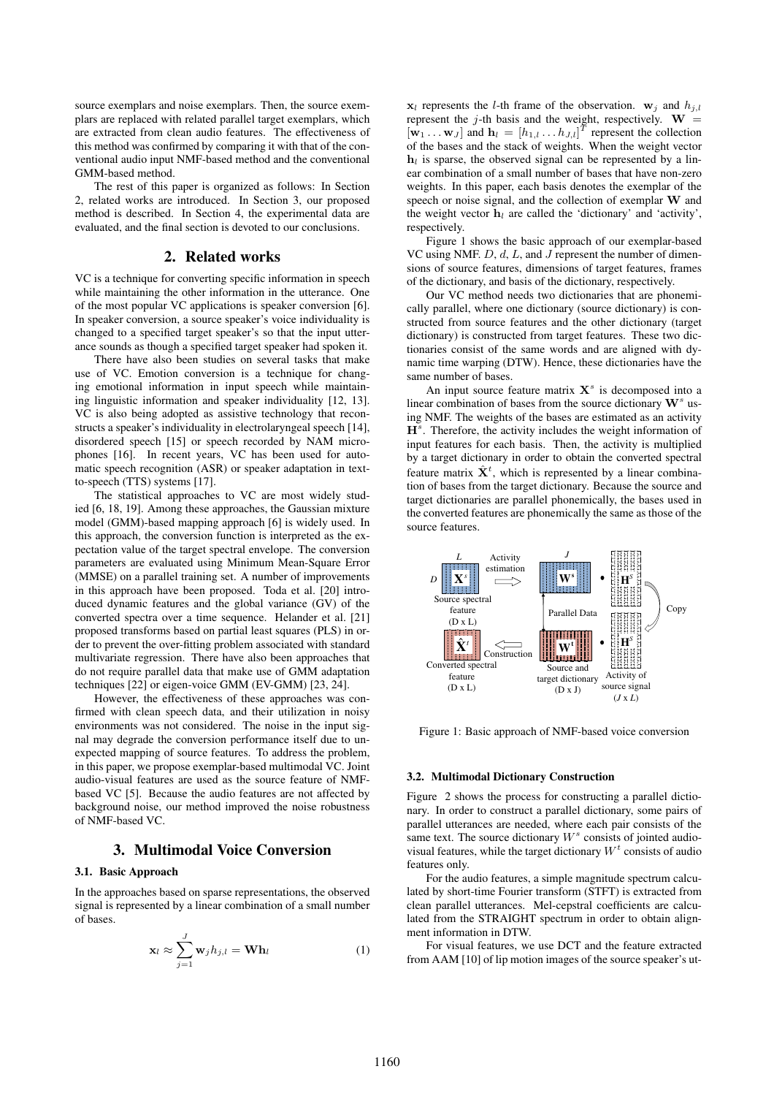source exemplars and noise exemplars. Then, the source exemplars are replaced with related parallel target exemplars, which are extracted from clean audio features. The effectiveness of this method was confirmed by comparing it with that of the conventional audio input NMF-based method and the conventional GMM-based method.

The rest of this paper is organized as follows: In Section 2, related works are introduced. In Section 3, our proposed method is described. In Section 4, the experimental data are evaluated, and the final section is devoted to our conclusions.

## 2. Related works

VC is a technique for converting specific information in speech while maintaining the other information in the utterance. One of the most popular VC applications is speaker conversion [6]. In speaker conversion, a source speaker's voice individuality is changed to a specified target speaker's so that the input utterance sounds as though a specified target speaker had spoken it.

There have also been studies on several tasks that make use of VC. Emotion conversion is a technique for changing emotional information in input speech while maintaining linguistic information and speaker individuality [12, 13]. VC is also being adopted as assistive technology that reconstructs a speaker's individuality in electrolaryngeal speech [14], disordered speech [15] or speech recorded by NAM microphones [16]. In recent years, VC has been used for automatic speech recognition (ASR) or speaker adaptation in textto-speech (TTS) systems [17].

The statistical approaches to VC are most widely studied [6, 18, 19]. Among these approaches, the Gaussian mixture model (GMM)-based mapping approach [6] is widely used. In this approach, the conversion function is interpreted as the expectation value of the target spectral envelope. The conversion parameters are evaluated using Minimum Mean-Square Error (MMSE) on a parallel training set. A number of improvements in this approach have been proposed. Toda et al. [20] introduced dynamic features and the global variance (GV) of the converted spectra over a time sequence. Helander et al. [21] proposed transforms based on partial least squares (PLS) in order to prevent the over-fitting problem associated with standard multivariate regression. There have also been approaches that do not require parallel data that make use of GMM adaptation techniques [22] or eigen-voice GMM (EV-GMM) [23, 24].

However, the effectiveness of these approaches was confirmed with clean speech data, and their utilization in noisy environments was not considered. The noise in the input signal may degrade the conversion performance itself due to unexpected mapping of source features. To address the problem, in this paper, we propose exemplar-based multimodal VC. Joint audio-visual features are used as the source feature of NMFbased VC [5]. Because the audio features are not affected by background noise, our method improved the noise robustness of NMF-based VC.

## 3. Multimodal Voice Conversion

#### 3.1. Basic Approach

In the approaches based on sparse representations, the observed signal is represented by a linear combination of a small number of bases.

$$
\mathbf{x}_{l} \approx \sum_{j=1}^{J} \mathbf{w}_{j} h_{j,l} = \mathbf{W} \mathbf{h}_{l}
$$
 (1)

 $x_l$  represents the *l*-th frame of the observation.  $w_i$  and  $h_{i,l}$ represent the  $j$ -th basis and the weight, respectively.  $W =$  $[\mathbf{w}_1 \dots \mathbf{w}_J]$  and  $\mathbf{h}_l = [h_{1,l} \dots h_{J,l}]^T$  represent the collection of the bases and the stack of weights. When the weight vector  $h_l$  is sparse, the observed signal can be represented by a linear combination of a small number of bases that have non-zero weights. In this paper, each basis denotes the exemplar of the speech or noise signal, and the collection of exemplar **W** and the weight vector  $\mathbf{h}_l$  are called the 'dictionary' and 'activity', respectively.

Figure 1 shows the basic approach of our exemplar-based VC using NMF. *D*, *d*, *L*, and *J* represent the number of dimensions of source features, dimensions of target features, frames of the dictionary, and basis of the dictionary, respectively.

Our VC method needs two dictionaries that are phonemically parallel, where one dictionary (source dictionary) is constructed from source features and the other dictionary (target dictionary) is constructed from target features. These two dictionaries consist of the same words and are aligned with dynamic time warping (DTW). Hence, these dictionaries have the same number of bases.

An input source feature matrix **X***<sup>s</sup>* is decomposed into a linear combination of bases from the source dictionary **W***<sup>s</sup>* using NMF. The weights of the bases are estimated as an activity **H***<sup>s</sup>* . Therefore, the activity includes the weight information of input features for each basis. Then, the activity is multiplied by a target dictionary in order to obtain the converted spectral feature matrix  $\hat{\mathbf{X}}^{t}$ , which is represented by a linear combination of bases from the target dictionary. Because the source and target dictionaries are parallel phonemically, the bases used in the converted features are phonemically the same as those of the source features.



Figure 1: Basic approach of NMF-based voice conversion

#### 3.2. Multimodal Dictionary Construction

Figure 2 shows the process for constructing a parallel dictionary. In order to construct a parallel dictionary, some pairs of parallel utterances are needed, where each pair consists of the same text. The source dictionary *W<sup>s</sup>* consists of jointed audiovisual features, while the target dictionary *W<sup>t</sup>* consists of audio features only.

For the audio features, a simple magnitude spectrum calculated by short-time Fourier transform (STFT) is extracted from clean parallel utterances. Mel-cepstral coefficients are calculated from the STRAIGHT spectrum in order to obtain alignment information in DTW.

For visual features, we use DCT and the feature extracted from AAM [10] of lip motion images of the source speaker's ut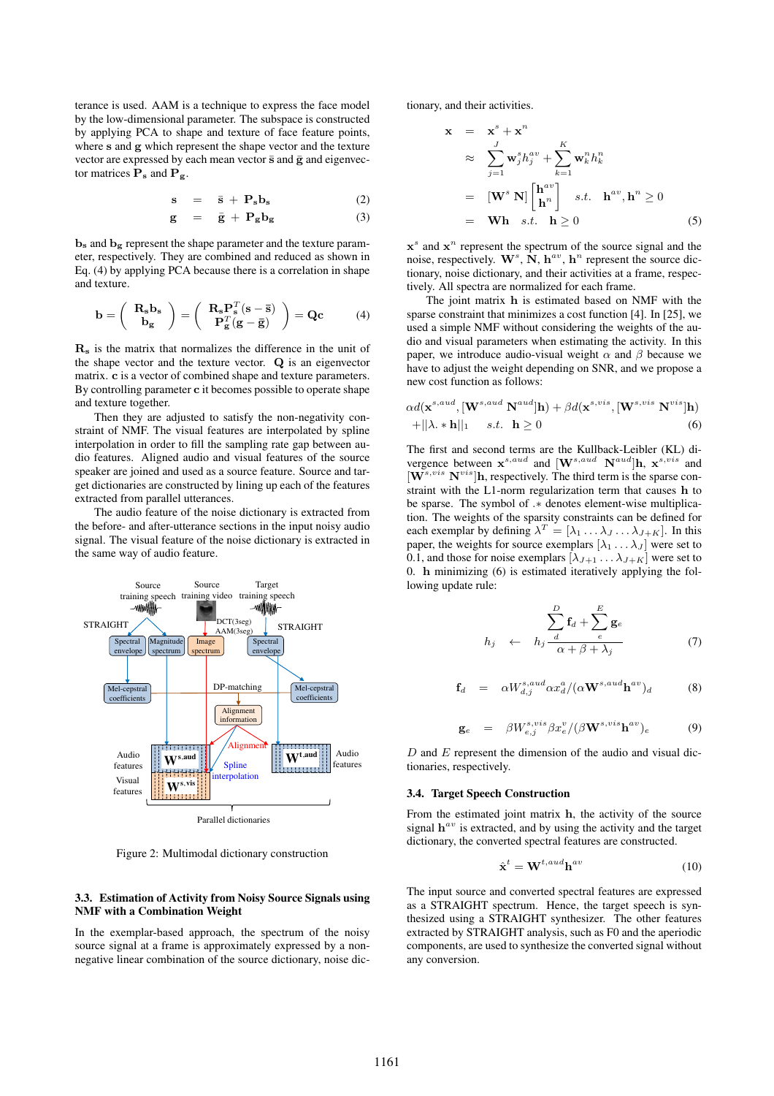terance is used. AAM is a technique to express the face model by the low-dimensional parameter. The subspace is constructed by applying PCA to shape and texture of face feature points, where **s** and **g** which represent the shape vector and the texture vector are expressed by each mean vector  $\bar{s}$  and  $\bar{g}$  and eigenvector matrices  $\mathbf{\tilde{P}_s}$  and  $\mathbf{P_g}$ .

$$
s = \bar{s} + P_s b_s \tag{2}
$$

$$
g = \bar{g} + P_g b_g \tag{3}
$$

 **and**  $**b**<sub>g</sub>$  **represent the shape parameter and the texture param**eter, respectively. They are combined and reduced as shown in Eq. (4) by applying PCA because there is a correlation in shape and texture.

$$
\mathbf{b} = \begin{pmatrix} \mathbf{R}_{\mathbf{s}} \mathbf{b}_{\mathbf{s}} \\ \mathbf{b}_{\mathbf{g}} \end{pmatrix} = \begin{pmatrix} \mathbf{R}_{\mathbf{s}} \mathbf{P}_{\mathbf{s}}^T (\mathbf{s} - \overline{\mathbf{s}}) \\ \mathbf{P}_{\mathbf{g}}^T (\mathbf{g} - \overline{\mathbf{g}}) \end{pmatrix} = \mathbf{Q} \mathbf{c} \tag{4}
$$

**R<sup>s</sup>** is the matrix that normalizes the difference in the unit of the shape vector and the texture vector. **Q** is an eigenvector matrix. **c** is a vector of combined shape and texture parameters. By controlling parameter **c** it becomes possible to operate shape and texture together.

Then they are adjusted to satisfy the non-negativity constraint of NMF. The visual features are interpolated by spline interpolation in order to fill the sampling rate gap between audio features. Aligned audio and visual features of the source speaker are joined and used as a source feature. Source and target dictionaries are constructed by lining up each of the features extracted from parallel utterances.

The audio feature of the noise dictionary is extracted from the before- and after-utterance sections in the input noisy audio signal. The visual feature of the noise dictionary is extracted in the same way of audio feature.



Figure 2: Multimodal dictionary construction

## 3.3. Estimation of Activity from Noisy Source Signals using NMF with a Combination Weight

In the exemplar-based approach, the spectrum of the noisy source signal at a frame is approximately expressed by a nonnegative linear combination of the source dictionary, noise dictionary, and their activities.

$$
\mathbf{x} = \mathbf{x}^{s} + \mathbf{x}^{n}
$$
\n
$$
\approx \sum_{j=1}^{J} \mathbf{w}_{j}^{s} h_{j}^{av} + \sum_{k=1}^{K} \mathbf{w}_{k}^{n} h_{k}^{n}
$$
\n
$$
= [\mathbf{W}^{s} \ \mathbf{N}] \begin{bmatrix} \mathbf{h}^{av} \\ \mathbf{h}^{n} \end{bmatrix} \quad s.t. \quad \mathbf{h}^{av}, \mathbf{h}^{n} \ge 0
$$
\n
$$
= \mathbf{W} \mathbf{h} \quad s.t. \quad \mathbf{h} \ge 0 \tag{5}
$$

 $x^s$  and  $x^n$  represent the spectrum of the source signal and the noise, respectively.  $W^s$ , N,  $h^{av}$ ,  $h^n$  represent the source dictionary, noise dictionary, and their activities at a frame, respectively. All spectra are normalized for each frame.

The joint matrix **h** is estimated based on NMF with the sparse constraint that minimizes a cost function [4]. In [25], we used a simple NMF without considering the weights of the audio and visual parameters when estimating the activity. In this paper, we introduce audio-visual weight  $\alpha$  and  $\beta$  because we have to adjust the weight depending on SNR, and we propose a new cost function as follows:

$$
\alpha d(\mathbf{x}^{s,aud}, [\mathbf{W}^{s,aud} \ \mathbf{N}^{aud}] \mathbf{h}) + \beta d(\mathbf{x}^{s,vis}, [\mathbf{W}^{s,vis} \ \mathbf{N}^{vis}] \mathbf{h}) + ||\lambda * \mathbf{h}||_1 \quad s.t. \ \mathbf{h} \ge 0
$$
 (6)

The first and second terms are the Kullback-Leibler (KL) divergence between  $\mathbf{x}^{s,aud}$  and  $[\mathbf{W}^{s,aud} \ \mathbf{N}^{aud}]$ h,  $\mathbf{x}^{s,vis}$  and [**W***s,vis* **N***vis*]**h**, respectively. The third term is the sparse constraint with the L1-norm regularization term that causes **h** to be sparse. The symbol of *.∗* denotes element-wise multiplication. The weights of the sparsity constraints can be defined for each exemplar by defining  $\lambda^T = [\lambda_1 \dots \lambda_J \dots \lambda_{J+K}]$ . In this paper, the weights for source exemplars  $[\lambda_1 \dots \lambda_J]$  were set to 0.1, and those for noise exemplars  $[\lambda_{J+1} \dots \lambda_{J+K}]$  were set to 0. **h** minimizing (6) is estimated iteratively applying the following update rule:

$$
h_j \quad \leftarrow \quad h_j \frac{\sum\limits_{d}^{D} f_d + \sum\limits_{e}^{E} g_e}{\alpha + \beta + \lambda_j} \tag{7}
$$

$$
\mathbf{f}_d = \alpha W_{d,j}^{s,aud} \alpha x_d^a / (\alpha \mathbf{W}^{s,aud} \mathbf{h}^{av})_d \tag{8}
$$

$$
\mathbf{g}_e = \beta W_{e,j}^{s, vis} \beta x_e^v / (\beta \mathbf{W}^{s, vis} \mathbf{h}^{av})_e \tag{9}
$$

*D* and *E* represent the dimension of the audio and visual dictionaries, respectively.

## 3.4. Target Speech Construction

From the estimated joint matrix **h**, the activity of the source signal **h** *av* is extracted, and by using the activity and the target dictionary, the converted spectral features are constructed.

$$
\hat{\mathbf{x}}^t = \mathbf{W}^{t, \text{aud}} \mathbf{h}^{av} \tag{10}
$$

The input source and converted spectral features are expressed as a STRAIGHT spectrum. Hence, the target speech is synthesized using a STRAIGHT synthesizer. The other features extracted by STRAIGHT analysis, such as F0 and the aperiodic components, are used to synthesize the converted signal without any conversion.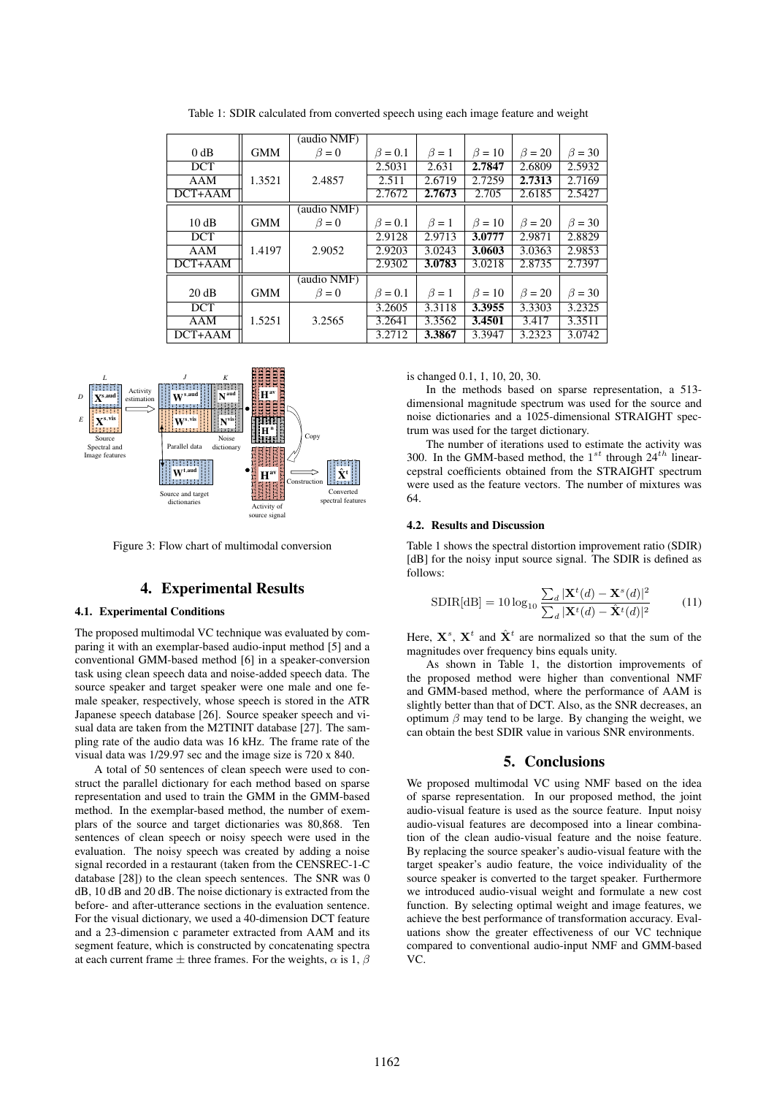|                      |            | (audio NMF) |               |             |              |              |              |
|----------------------|------------|-------------|---------------|-------------|--------------|--------------|--------------|
| 0 dB                 | <b>GMM</b> | $\beta = 0$ | $\beta = 0.1$ | $\beta = 1$ | $\beta = 10$ | $\beta = 20$ | $\beta = 30$ |
| <b>DCT</b>           |            |             | 2.5031        | 2.631       | 2.7847       | 2.6809       | 2.5932       |
| AAM                  | 1.3521     | 2.4857      | 2.511         | 2.6719      | 2.7259       | 2.7313       | 2.7169       |
| $DCT+AAM$            |            |             | 2.7672        | 2.7673      | 2.705        | 2.6185       | 2.5427       |
|                      |            | (audio NMF) |               |             |              |              |              |
| 10dB                 | <b>GMM</b> | $\beta = 0$ | $\beta = 0.1$ | $\beta = 1$ | $\beta = 10$ | $\beta = 20$ | $\beta = 30$ |
| DCT.                 |            |             | 2.9128        | 2.9713      | 3.0777       | 2.9871       | 2.8829       |
| AAM                  | 1.4197     | 2.9052      | 2.9203        | 3.0243      | 3.0603       | 3.0363       | 2.9853       |
| $\overline{D}CT+AAM$ |            |             | 2.9302        | 3.0783      | 3.0218       | 2.8735       | 2.7397       |
|                      |            | (audio NMF) |               |             |              |              |              |
| 20 dB                | <b>GMM</b> | $\beta = 0$ | $\beta = 0.1$ | $\beta = 1$ | $\beta = 10$ | $\beta = 20$ | $\beta = 30$ |
| <b>DCT</b>           |            |             | 3.2605        | 3.3118      | 3.3955       | 3.3303       | 3.2325       |
| AAM                  | 1.5251     | 3.2565      | 3.2641        | 3.3562      | 3.4501       | 3.417        | 3.3511       |
| DCT+AAM              |            |             | 3.2712        | 3.3867      | 3.3947       | 3.2323       | 3.0742       |

Table 1: SDIR calculated from converted speech using each image feature and weight



Figure 3: Flow chart of multimodal conversion

# 4. Experimental Results

#### 4.1. Experimental Conditions

The proposed multimodal VC technique was evaluated by comparing it with an exemplar-based audio-input method [5] and a conventional GMM-based method [6] in a speaker-conversion task using clean speech data and noise-added speech data. The source speaker and target speaker were one male and one female speaker, respectively, whose speech is stored in the ATR Japanese speech database [26]. Source speaker speech and visual data are taken from the M2TINIT database [27]. The sampling rate of the audio data was 16 kHz. The frame rate of the visual data was 1/29.97 sec and the image size is 720 x 840.

A total of 50 sentences of clean speech were used to construct the parallel dictionary for each method based on sparse representation and used to train the GMM in the GMM-based method. In the exemplar-based method, the number of exemplars of the source and target dictionaries was 80,868. Ten sentences of clean speech or noisy speech were used in the evaluation. The noisy speech was created by adding a noise signal recorded in a restaurant (taken from the CENSREC-1-C database [28]) to the clean speech sentences. The SNR was 0 dB, 10 dB and 20 dB. The noise dictionary is extracted from the before- and after-utterance sections in the evaluation sentence. For the visual dictionary, we used a 40-dimension DCT feature and a 23-dimension c parameter extracted from AAM and its segment feature, which is constructed by concatenating spectra at each current frame  $\pm$  three frames. For the weights,  $\alpha$  is 1,  $\beta$  is changed 0.1, 1, 10, 20, 30.

In the methods based on sparse representation, a 513 dimensional magnitude spectrum was used for the source and noise dictionaries and a 1025-dimensional STRAIGHT spectrum was used for the target dictionary.

The number of iterations used to estimate the activity was 300. In the GMM-based method, the 1 *st* through 24*th* linearcepstral coefficients obtained from the STRAIGHT spectrum were used as the feature vectors. The number of mixtures was 64.

#### 4.2. Results and Discussion

Table 1 shows the spectral distortion improvement ratio (SDIR) [dB] for the noisy input source signal. The SDIR is defined as follows:

$$
\text{SDIR}[dB] = 10 \log_{10} \frac{\sum_{d} |\mathbf{X}^{t}(d) - \mathbf{X}^{s}(d)|^{2}}{\sum_{d} |\mathbf{X}^{t}(d) - \hat{\mathbf{X}}^{t}(d)|^{2}} \tag{11}
$$

Here,  $X^s$ ,  $X^t$  and  $\hat{X}^t$  are normalized so that the sum of the magnitudes over frequency bins equals unity.

As shown in Table 1, the distortion improvements of the proposed method were higher than conventional NMF and GMM-based method, where the performance of AAM is slightly better than that of DCT. Also, as the SNR decreases, an optimum *β* may tend to be large. By changing the weight, we can obtain the best SDIR value in various SNR environments.

## 5. Conclusions

We proposed multimodal VC using NMF based on the idea of sparse representation. In our proposed method, the joint audio-visual feature is used as the source feature. Input noisy audio-visual features are decomposed into a linear combination of the clean audio-visual feature and the noise feature. By replacing the source speaker's audio-visual feature with the target speaker's audio feature, the voice individuality of the source speaker is converted to the target speaker. Furthermore we introduced audio-visual weight and formulate a new cost function. By selecting optimal weight and image features, we achieve the best performance of transformation accuracy. Evaluations show the greater effectiveness of our VC technique compared to conventional audio-input NMF and GMM-based VC.